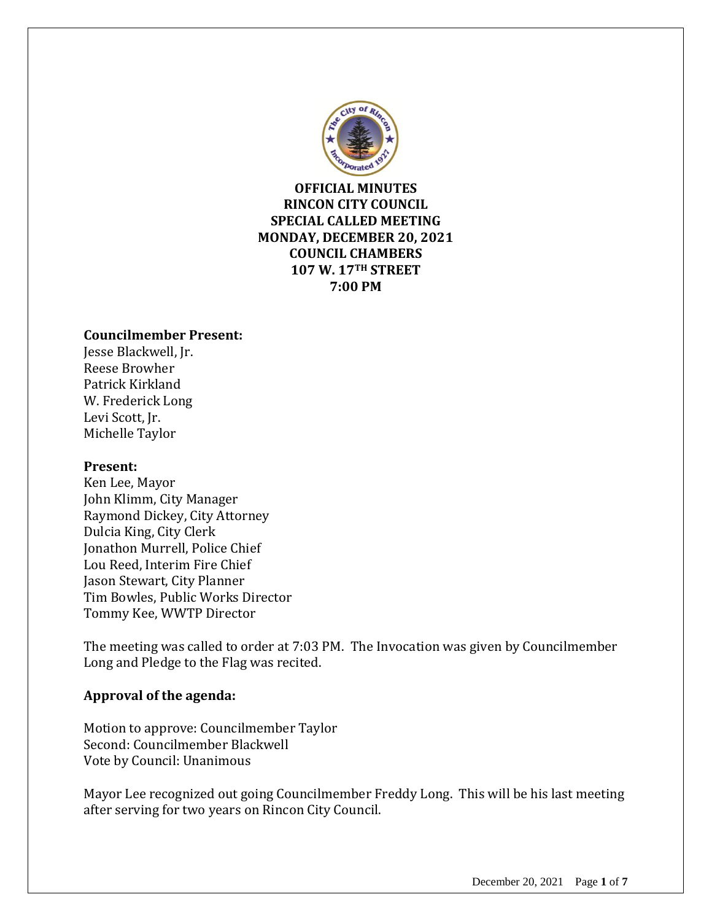

**OFFICIAL MINUTES RINCON CITY COUNCIL SPECIAL CALLED MEETING MONDAY, DECEMBER 20, 2021 COUNCIL CHAMBERS 107 W. 17TH STREET 7:00 PM**

#### **Councilmember Present:**

Jesse Blackwell, Jr. Reese Browher Patrick Kirkland W. Frederick Long Levi Scott, Jr. Michelle Taylor

#### **Present:**

Ken Lee, Mayor John Klimm, City Manager Raymond Dickey, City Attorney Dulcia King, City Clerk Jonathon Murrell, Police Chief Lou Reed, Interim Fire Chief Jason Stewart, City Planner Tim Bowles, Public Works Director Tommy Kee, WWTP Director

The meeting was called to order at 7:03 PM. The Invocation was given by Councilmember Long and Pledge to the Flag was recited.

## **Approval of the agenda:**

Motion to approve: Councilmember Taylor Second: Councilmember Blackwell Vote by Council: Unanimous

Mayor Lee recognized out going Councilmember Freddy Long. This will be his last meeting after serving for two years on Rincon City Council.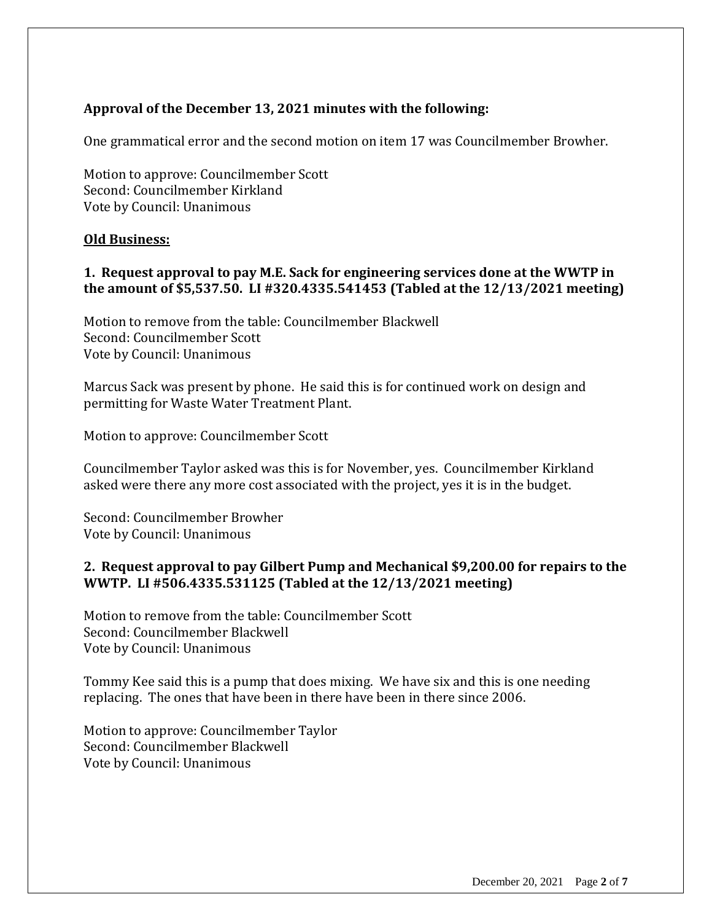# **Approval of the December 13, 2021 minutes with the following:**

One grammatical error and the second motion on item 17 was Councilmember Browher.

Motion to approve: Councilmember Scott Second: Councilmember Kirkland Vote by Council: Unanimous

#### **Old Business:**

#### **1. Request approval to pay M.E. Sack for engineering services done at the WWTP in the amount of \$5,537.50. LI #320.4335.541453 (Tabled at the 12/13/2021 meeting)**

Motion to remove from the table: Councilmember Blackwell Second: Councilmember Scott Vote by Council: Unanimous

Marcus Sack was present by phone. He said this is for continued work on design and permitting for Waste Water Treatment Plant.

Motion to approve: Councilmember Scott

Councilmember Taylor asked was this is for November, yes. Councilmember Kirkland asked were there any more cost associated with the project, yes it is in the budget.

Second: Councilmember Browher Vote by Council: Unanimous

## **2. Request approval to pay Gilbert Pump and Mechanical \$9,200.00 for repairs to the WWTP. LI #506.4335.531125 (Tabled at the 12/13/2021 meeting)**

Motion to remove from the table: Councilmember Scott Second: Councilmember Blackwell Vote by Council: Unanimous

Tommy Kee said this is a pump that does mixing. We have six and this is one needing replacing. The ones that have been in there have been in there since 2006.

Motion to approve: Councilmember Taylor Second: Councilmember Blackwell Vote by Council: Unanimous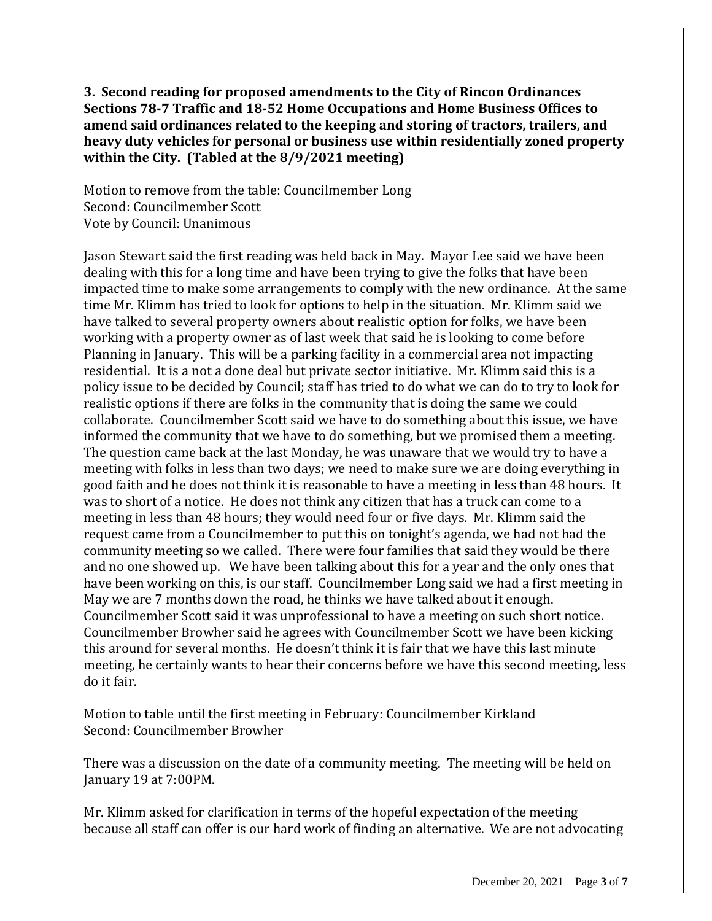**3. Second reading for proposed amendments to the City of Rincon Ordinances Sections 78-7 Traffic and 18-52 Home Occupations and Home Business Offices to amend said ordinances related to the keeping and storing of tractors, trailers, and heavy duty vehicles for personal or business use within residentially zoned property within the City. (Tabled at the 8/9/2021 meeting)**

Motion to remove from the table: Councilmember Long Second: Councilmember Scott Vote by Council: Unanimous

Jason Stewart said the first reading was held back in May. Mayor Lee said we have been dealing with this for a long time and have been trying to give the folks that have been impacted time to make some arrangements to comply with the new ordinance. At the same time Mr. Klimm has tried to look for options to help in the situation. Mr. Klimm said we have talked to several property owners about realistic option for folks, we have been working with a property owner as of last week that said he is looking to come before Planning in January. This will be a parking facility in a commercial area not impacting residential. It is a not a done deal but private sector initiative. Mr. Klimm said this is a policy issue to be decided by Council; staff has tried to do what we can do to try to look for realistic options if there are folks in the community that is doing the same we could collaborate. Councilmember Scott said we have to do something about this issue, we have informed the community that we have to do something, but we promised them a meeting. The question came back at the last Monday, he was unaware that we would try to have a meeting with folks in less than two days; we need to make sure we are doing everything in good faith and he does not think it is reasonable to have a meeting in less than 48 hours. It was to short of a notice. He does not think any citizen that has a truck can come to a meeting in less than 48 hours; they would need four or five days. Mr. Klimm said the request came from a Councilmember to put this on tonight's agenda, we had not had the community meeting so we called. There were four families that said they would be there and no one showed up. We have been talking about this for a year and the only ones that have been working on this, is our staff. Councilmember Long said we had a first meeting in May we are 7 months down the road, he thinks we have talked about it enough. Councilmember Scott said it was unprofessional to have a meeting on such short notice. Councilmember Browher said he agrees with Councilmember Scott we have been kicking this around for several months. He doesn't think it is fair that we have this last minute meeting, he certainly wants to hear their concerns before we have this second meeting, less do it fair.

Motion to table until the first meeting in February: Councilmember Kirkland Second: Councilmember Browher

There was a discussion on the date of a community meeting. The meeting will be held on January 19 at 7:00PM.

Mr. Klimm asked for clarification in terms of the hopeful expectation of the meeting because all staff can offer is our hard work of finding an alternative. We are not advocating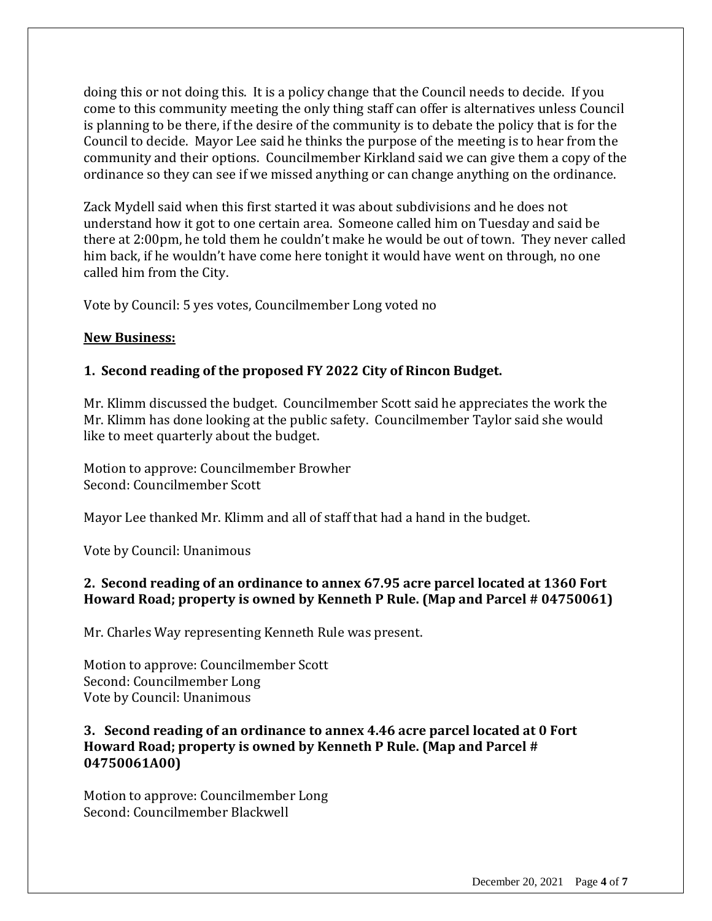doing this or not doing this. It is a policy change that the Council needs to decide. If you come to this community meeting the only thing staff can offer is alternatives unless Council is planning to be there, if the desire of the community is to debate the policy that is for the Council to decide. Mayor Lee said he thinks the purpose of the meeting is to hear from the community and their options. Councilmember Kirkland said we can give them a copy of the ordinance so they can see if we missed anything or can change anything on the ordinance.

Zack Mydell said when this first started it was about subdivisions and he does not understand how it got to one certain area. Someone called him on Tuesday and said be there at 2:00pm, he told them he couldn't make he would be out of town. They never called him back, if he wouldn't have come here tonight it would have went on through, no one called him from the City.

Vote by Council: 5 yes votes, Councilmember Long voted no

# **New Business:**

# **1. Second reading of the proposed FY 2022 City of Rincon Budget.**

Mr. Klimm discussed the budget. Councilmember Scott said he appreciates the work the Mr. Klimm has done looking at the public safety. Councilmember Taylor said she would like to meet quarterly about the budget.

Motion to approve: Councilmember Browher Second: Councilmember Scott

Mayor Lee thanked Mr. Klimm and all of staff that had a hand in the budget.

Vote by Council: Unanimous

# **2. Second reading of an ordinance to annex 67.95 acre parcel located at 1360 Fort Howard Road; property is owned by Kenneth P Rule. (Map and Parcel # 04750061)**

Mr. Charles Way representing Kenneth Rule was present.

Motion to approve: Councilmember Scott Second: Councilmember Long Vote by Council: Unanimous

# **3. Second reading of an ordinance to annex 4.46 acre parcel located at 0 Fort Howard Road; property is owned by Kenneth P Rule. (Map and Parcel # 04750061A00)**

Motion to approve: Councilmember Long Second: Councilmember Blackwell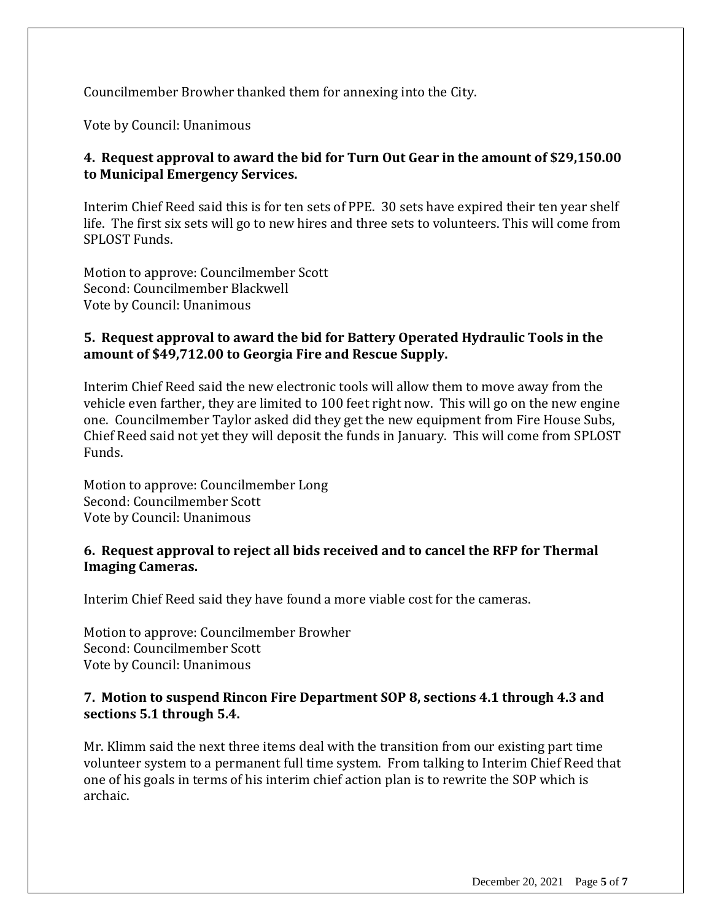Councilmember Browher thanked them for annexing into the City.

Vote by Council: Unanimous

# **4. Request approval to award the bid for Turn Out Gear in the amount of \$29,150.00 to Municipal Emergency Services.**

Interim Chief Reed said this is for ten sets of PPE. 30 sets have expired their ten year shelf life. The first six sets will go to new hires and three sets to volunteers. This will come from SPLOST Funds.

Motion to approve: Councilmember Scott Second: Councilmember Blackwell Vote by Council: Unanimous

#### **5. Request approval to award the bid for Battery Operated Hydraulic Tools in the amount of \$49,712.00 to Georgia Fire and Rescue Supply.**

Interim Chief Reed said the new electronic tools will allow them to move away from the vehicle even farther, they are limited to 100 feet right now. This will go on the new engine one. Councilmember Taylor asked did they get the new equipment from Fire House Subs, Chief Reed said not yet they will deposit the funds in January. This will come from SPLOST Funds.

Motion to approve: Councilmember Long Second: Councilmember Scott Vote by Council: Unanimous

#### **6. Request approval to reject all bids received and to cancel the RFP for Thermal Imaging Cameras.**

Interim Chief Reed said they have found a more viable cost for the cameras.

Motion to approve: Councilmember Browher Second: Councilmember Scott Vote by Council: Unanimous

## **7. Motion to suspend Rincon Fire Department SOP 8, sections 4.1 through 4.3 and sections 5.1 through 5.4.**

Mr. Klimm said the next three items deal with the transition from our existing part time volunteer system to a permanent full time system. From talking to Interim Chief Reed that one of his goals in terms of his interim chief action plan is to rewrite the SOP which is archaic.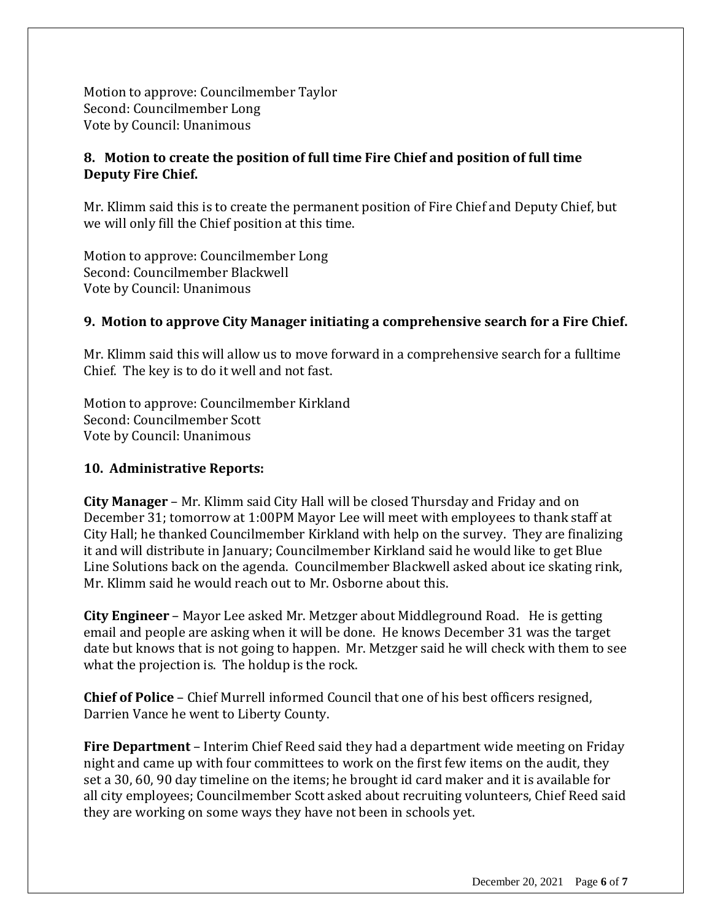Motion to approve: Councilmember Taylor Second: Councilmember Long Vote by Council: Unanimous

# **8. Motion to create the position of full time Fire Chief and position of full time Deputy Fire Chief.**

Mr. Klimm said this is to create the permanent position of Fire Chief and Deputy Chief, but we will only fill the Chief position at this time.

Motion to approve: Councilmember Long Second: Councilmember Blackwell Vote by Council: Unanimous

## **9. Motion to approve City Manager initiating a comprehensive search for a Fire Chief.**

Mr. Klimm said this will allow us to move forward in a comprehensive search for a fulltime Chief. The key is to do it well and not fast.

Motion to approve: Councilmember Kirkland Second: Councilmember Scott Vote by Council: Unanimous

## **10. Administrative Reports:**

**City Manager** – Mr. Klimm said City Hall will be closed Thursday and Friday and on December 31; tomorrow at 1:00PM Mayor Lee will meet with employees to thank staff at City Hall; he thanked Councilmember Kirkland with help on the survey. They are finalizing it and will distribute in January; Councilmember Kirkland said he would like to get Blue Line Solutions back on the agenda. Councilmember Blackwell asked about ice skating rink, Mr. Klimm said he would reach out to Mr. Osborne about this.

**City Engineer** – Mayor Lee asked Mr. Metzger about Middleground Road. He is getting email and people are asking when it will be done. He knows December 31 was the target date but knows that is not going to happen. Mr. Metzger said he will check with them to see what the projection is. The holdup is the rock.

**Chief of Police** – Chief Murrell informed Council that one of his best officers resigned, Darrien Vance he went to Liberty County.

**Fire Department** – Interim Chief Reed said they had a department wide meeting on Friday night and came up with four committees to work on the first few items on the audit, they set a 30, 60, 90 day timeline on the items; he brought id card maker and it is available for all city employees; Councilmember Scott asked about recruiting volunteers, Chief Reed said they are working on some ways they have not been in schools yet.